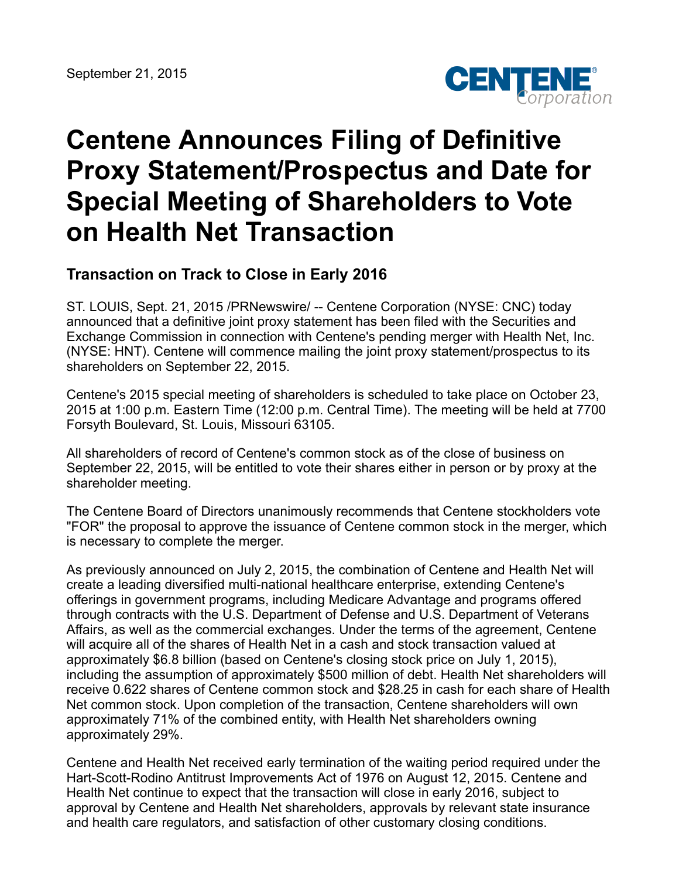

# **Centene Announces Filing of Definitive Proxy Statement/Prospectus and Date for Special Meeting of Shareholders to Vote on Health Net Transaction**

# **Transaction on Track to Close in Early 2016**

ST. LOUIS, Sept. 21, 2015 /PRNewswire/ -- Centene Corporation (NYSE: CNC) today announced that a definitive joint proxy statement has been filed with the Securities and Exchange Commission in connection with Centene's pending merger with Health Net, Inc. (NYSE: HNT). Centene will commence mailing the joint proxy statement/prospectus to its shareholders on September 22, 2015.

Centene's 2015 special meeting of shareholders is scheduled to take place on October 23, 2015 at 1:00 p.m. Eastern Time (12:00 p.m. Central Time). The meeting will be held at 7700 Forsyth Boulevard, St. Louis, Missouri 63105.

All shareholders of record of Centene's common stock as of the close of business on September 22, 2015, will be entitled to vote their shares either in person or by proxy at the shareholder meeting.

The Centene Board of Directors unanimously recommends that Centene stockholders vote "FOR" the proposal to approve the issuance of Centene common stock in the merger, which is necessary to complete the merger.

As previously announced on July 2, 2015, the combination of Centene and Health Net will create a leading diversified multi-national healthcare enterprise, extending Centene's offerings in government programs, including Medicare Advantage and programs offered through contracts with the U.S. Department of Defense and U.S. Department of Veterans Affairs, as well as the commercial exchanges. Under the terms of the agreement, Centene will acquire all of the shares of Health Net in a cash and stock transaction valued at approximately \$6.8 billion (based on Centene's closing stock price on July 1, 2015), including the assumption of approximately \$500 million of debt. Health Net shareholders will receive 0.622 shares of Centene common stock and \$28.25 in cash for each share of Health Net common stock. Upon completion of the transaction, Centene shareholders will own approximately 71% of the combined entity, with Health Net shareholders owning approximately 29%.

Centene and Health Net received early termination of the waiting period required under the Hart-Scott-Rodino Antitrust Improvements Act of 1976 on August 12, 2015. Centene and Health Net continue to expect that the transaction will close in early 2016, subject to approval by Centene and Health Net shareholders, approvals by relevant state insurance and health care regulators, and satisfaction of other customary closing conditions.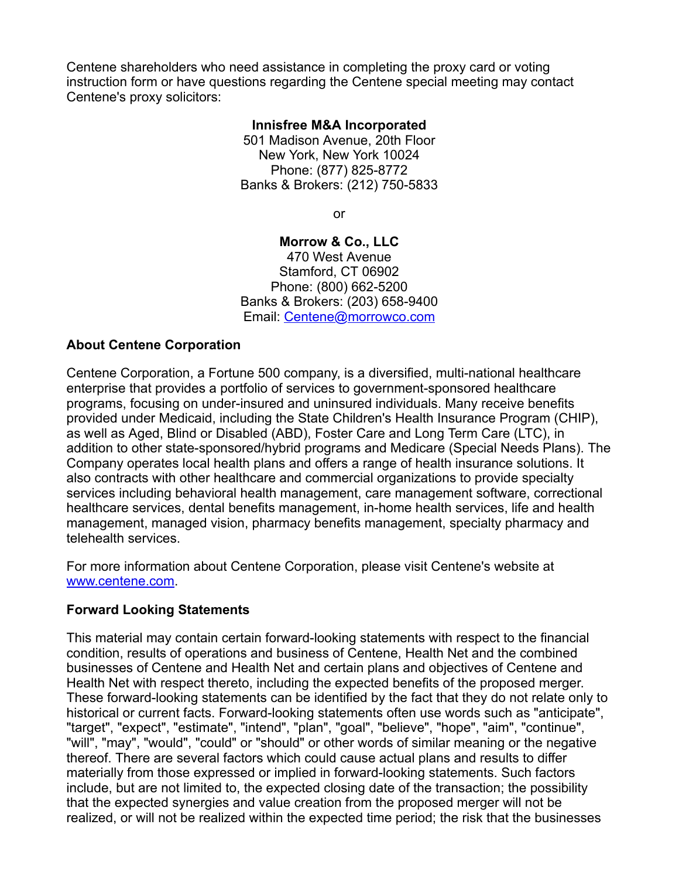Centene shareholders who need assistance in completing the proxy card or voting instruction form or have questions regarding the Centene special meeting may contact Centene's proxy solicitors:

#### **Innisfree M&A Incorporated**

501 Madison Avenue, 20th Floor New York, New York 10024 Phone: (877) 825-8772 Banks & Brokers: (212) 750-5833

or

#### **Morrow & Co., LLC**

470 West Avenue Stamford, CT 06902 Phone: (800) 662-5200 Banks & Brokers: (203) 658-9400 Email: [Centene@morrowco.com](mailto:Centene@morrowco.com)

#### **About Centene Corporation**

Centene Corporation, a Fortune 500 company, is a diversified, multi-national healthcare enterprise that provides a portfolio of services to government-sponsored healthcare programs, focusing on under-insured and uninsured individuals. Many receive benefits provided under Medicaid, including the State Children's Health Insurance Program (CHIP), as well as Aged, Blind or Disabled (ABD), Foster Care and Long Term Care (LTC), in addition to other state-sponsored/hybrid programs and Medicare (Special Needs Plans). The Company operates local health plans and offers a range of health insurance solutions. It also contracts with other healthcare and commercial organizations to provide specialty services including behavioral health management, care management software, correctional healthcare services, dental benefits management, in-home health services, life and health management, managed vision, pharmacy benefits management, specialty pharmacy and telehealth services.

For more information about Centene Corporation, please visit Centene's website at [www.centene.com.](http://www.centene.com/)

## **Forward Looking Statements**

This material may contain certain forward-looking statements with respect to the financial condition, results of operations and business of Centene, Health Net and the combined businesses of Centene and Health Net and certain plans and objectives of Centene and Health Net with respect thereto, including the expected benefits of the proposed merger. These forward-looking statements can be identified by the fact that they do not relate only to historical or current facts. Forward-looking statements often use words such as "anticipate", "target", "expect", "estimate", "intend", "plan", "goal", "believe", "hope", "aim", "continue", "will", "may", "would", "could" or "should" or other words of similar meaning or the negative thereof. There are several factors which could cause actual plans and results to differ materially from those expressed or implied in forward-looking statements. Such factors include, but are not limited to, the expected closing date of the transaction; the possibility that the expected synergies and value creation from the proposed merger will not be realized, or will not be realized within the expected time period; the risk that the businesses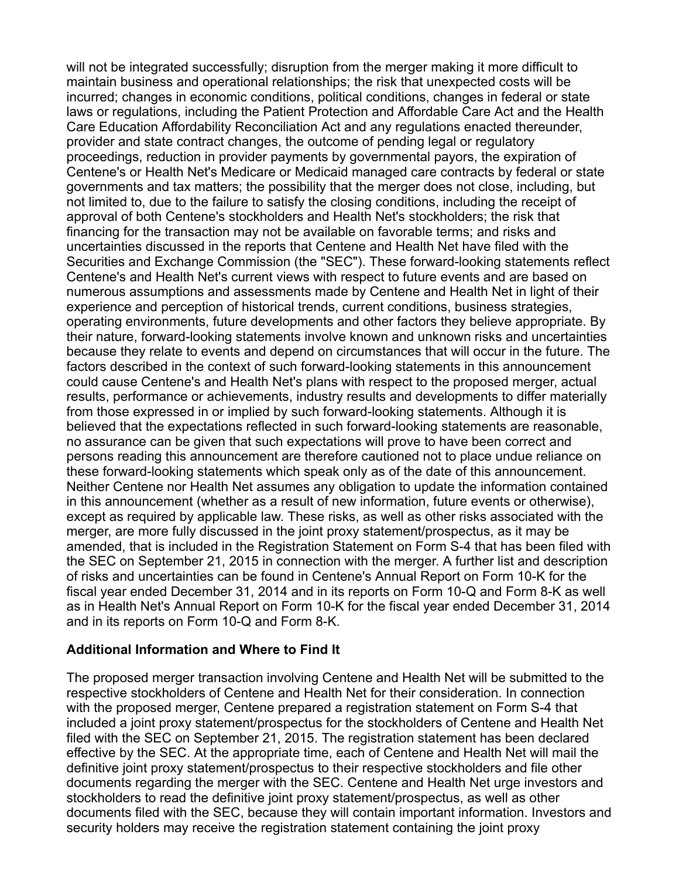will not be integrated successfully; disruption from the merger making it more difficult to maintain business and operational relationships; the risk that unexpected costs will be incurred; changes in economic conditions, political conditions, changes in federal or state laws or regulations, including the Patient Protection and Affordable Care Act and the Health Care Education Affordability Reconciliation Act and any regulations enacted thereunder, provider and state contract changes, the outcome of pending legal or regulatory proceedings, reduction in provider payments by governmental payors, the expiration of Centene's or Health Net's Medicare or Medicaid managed care contracts by federal or state governments and tax matters; the possibility that the merger does not close, including, but not limited to, due to the failure to satisfy the closing conditions, including the receipt of approval of both Centene's stockholders and Health Net's stockholders; the risk that financing for the transaction may not be available on favorable terms; and risks and uncertainties discussed in the reports that Centene and Health Net have filed with the Securities and Exchange Commission (the "SEC"). These forward-looking statements reflect Centene's and Health Net's current views with respect to future events and are based on numerous assumptions and assessments made by Centene and Health Net in light of their experience and perception of historical trends, current conditions, business strategies, operating environments, future developments and other factors they believe appropriate. By their nature, forward-looking statements involve known and unknown risks and uncertainties because they relate to events and depend on circumstances that will occur in the future. The factors described in the context of such forward-looking statements in this announcement could cause Centene's and Health Net's plans with respect to the proposed merger, actual results, performance or achievements, industry results and developments to differ materially from those expressed in or implied by such forward-looking statements. Although it is believed that the expectations reflected in such forward-looking statements are reasonable, no assurance can be given that such expectations will prove to have been correct and persons reading this announcement are therefore cautioned not to place undue reliance on these forward-looking statements which speak only as of the date of this announcement. Neither Centene nor Health Net assumes any obligation to update the information contained in this announcement (whether as a result of new information, future events or otherwise), except as required by applicable law. These risks, as well as other risks associated with the merger, are more fully discussed in the joint proxy statement/prospectus, as it may be amended, that is included in the Registration Statement on Form S-4 that has been filed with the SEC on September 21, 2015 in connection with the merger. A further list and description of risks and uncertainties can be found in Centene's Annual Report on Form 10-K for the fiscal year ended December 31, 2014 and in its reports on Form 10-Q and Form 8-K as well as in Health Net's Annual Report on Form 10-K for the fiscal year ended December 31, 2014 and in its reports on Form 10-Q and Form 8-K.

#### **Additional Information and Where to Find It**

The proposed merger transaction involving Centene and Health Net will be submitted to the respective stockholders of Centene and Health Net for their consideration. In connection with the proposed merger, Centene prepared a registration statement on Form S-4 that included a joint proxy statement/prospectus for the stockholders of Centene and Health Net filed with the SEC on September 21, 2015. The registration statement has been declared effective by the SEC. At the appropriate time, each of Centene and Health Net will mail the definitive joint proxy statement/prospectus to their respective stockholders and file other documents regarding the merger with the SEC. Centene and Health Net urge investors and stockholders to read the definitive joint proxy statement/prospectus, as well as other documents filed with the SEC, because they will contain important information. Investors and security holders may receive the registration statement containing the joint proxy